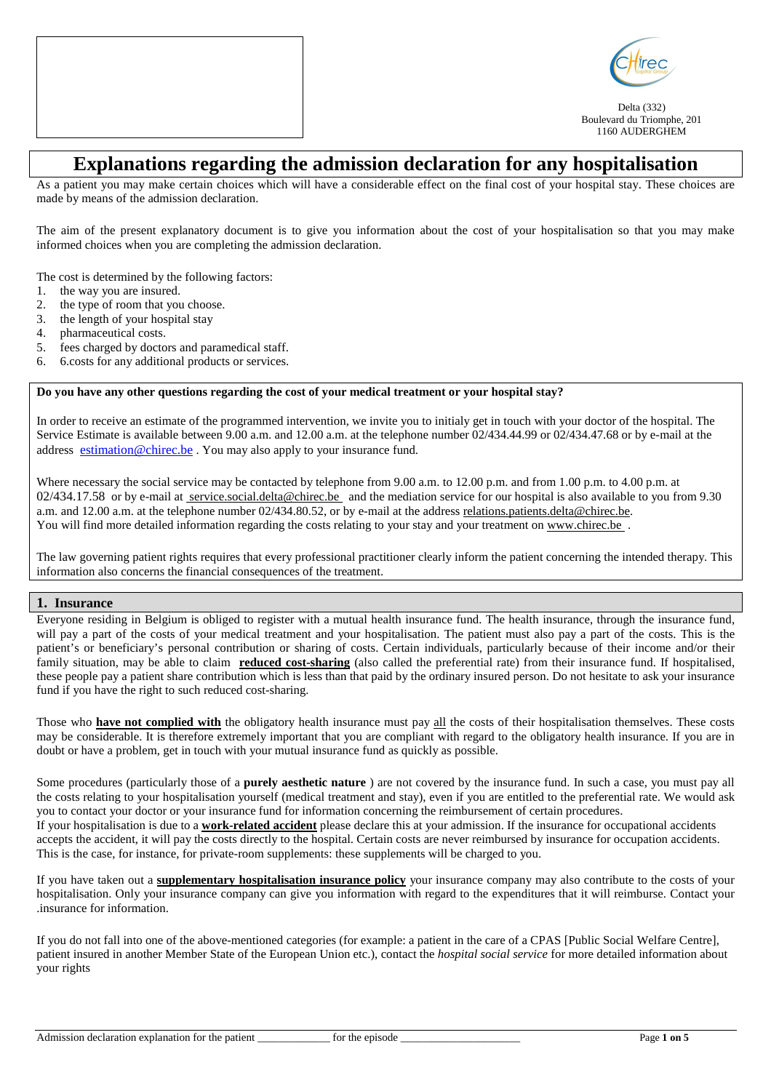



Delta (332) Boulevard du Triomphe, 201 1160 AUDERGHEM

# **Explanations regarding the admission declaration for any hospitalisation**

As a patient you may make certain choices which will have a considerable effect on the final cost of your hospital stay. These choices are made by means of the admission declaration.

The aim of the present explanatory document is to give you information about the cost of your hospitalisation so that you may make informed choices when you are completing the admission declaration.

The cost is determined by the following factors:

- 1. the way you are insured.
- 2. the type of room that you choose.
- 3. the length of your hospital stay
- 4. pharmaceutical costs.
- 5. fees charged by doctors and paramedical staff.
- 6. 6.costs for any additional products or services.

### **Do you have any other questions regarding the cost of your medical treatment or your hospital stay?**

In order to receive an estimate of the programmed intervention, we invite you to initialy get in touch with your doctor of the hospital. The Service Estimate is available between 9.00 a.m. and 12.00 a.m. at the telephone number 02/434.44.99 or 02/434.47.68 or by e-mail at the address estimation@chirec.be . You may also apply to your insurance fund.

Where necessary the social service may be contacted by telephone from 9.00 a.m. to 12.00 p.m. and from 1.00 p.m. to 4.00 p.m. at 02/434.17.58 or by e-mail at service.social.delta@chirec.be and the mediation service for our hospital is also available to you from 9.30 a.m. and 12.00 a.m. at the telephone number 02/434.80.52, or by e-mail at the address relations.patients.delta@chirec.be. You will find more detailed information regarding the costs relating to your stay and your treatment on www.chirec.be.

The law governing patient rights requires that every professional practitioner clearly inform the patient concerning the intended therapy. This information also concerns the financial consequences of the treatment.

### **1. Insurance**

Everyone residing in Belgium is obliged to register with a mutual health insurance fund. The health insurance, through the insurance fund, will pay a part of the costs of your medical treatment and your hospitalisation. The patient must also pay a part of the costs. This is the patient's or beneficiary's personal contribution or sharing of costs. Certain individuals, particularly because of their income and/or their family situation, may be able to claim **reduced cost-sharing** (also called the preferential rate) from their insurance fund. If hospitalised, these people pay a patient share contribution which is less than that paid by the ordinary insured person. Do not hesitate to ask your insurance fund if you have the right to such reduced cost-sharing.

Those who **have not complied with** the obligatory health insurance must pay all the costs of their hospitalisation themselves. These costs may be considerable. It is therefore extremely important that you are compliant with regard to the obligatory health insurance. If you are in doubt or have a problem, get in touch with your mutual insurance fund as quickly as possible.

Some procedures (particularly those of a **purely aesthetic nature** ) are not covered by the insurance fund. In such a case, you must pay all the costs relating to your hospitalisation yourself (medical treatment and stay), even if you are entitled to the preferential rate. We would ask you to contact your doctor or your insurance fund for information concerning the reimbursement of certain procedures. If your hospitalisation is due to a **work-related accident** please declare this at your admission. If the insurance for occupational accidents accepts the accident, it will pay the costs directly to the hospital. Certain costs are never reimbursed by insurance for occupation accidents. This is the case, for instance, for private-room supplements: these supplements will be charged to you.

If you have taken out a **supplementary hospitalisation insurance policy** your insurance company may also contribute to the costs of your hospitalisation. Only your insurance company can give you information with regard to the expenditures that it will reimburse. Contact your .insurance for information.

If you do not fall into one of the above-mentioned categories (for example: a patient in the care of a CPAS [Public Social Welfare Centre], patient insured in another Member State of the European Union etc.), contact the *hospital social service* for more detailed information about your rights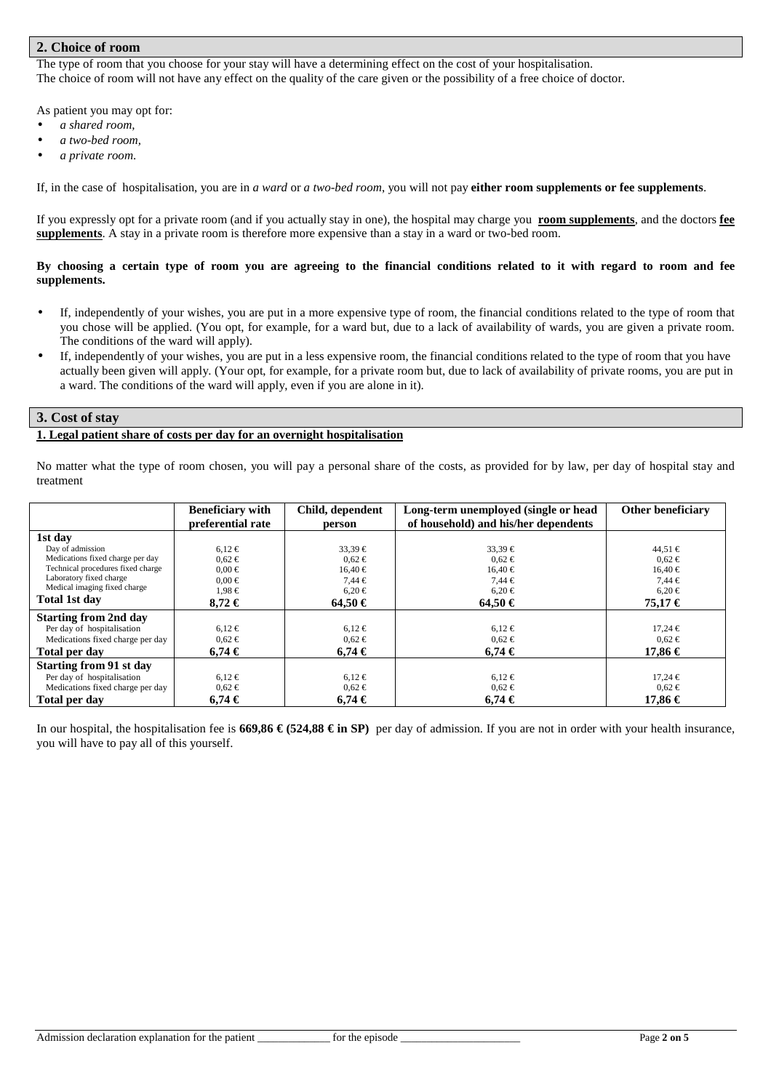# **2. Choice of room**

The type of room that you choose for your stay will have a determining effect on the cost of your hospitalisation. The choice of room will not have any effect on the quality of the care given or the possibility of a free choice of doctor.

As patient you may opt for:

- *a shared room,*
- *a two-bed room,*
- *a private room*.

If, in the case of hospitalisation, you are in *a ward* or *a two-bed room*, you will not pay **either room supplements or fee supplements**.

If you expressly opt for a private room (and if you actually stay in one), the hospital may charge you **room supplements**, and the doctors **fee supplements**. A stay in a private room is therefore more expensive than a stay in a ward or two-bed room.

### **By choosing a certain type of room you are agreeing to the financial conditions related to it with regard to room and fee supplements.**

- If, independently of your wishes, you are put in a more expensive type of room, the financial conditions related to the type of room that you chose will be applied. (You opt, for example, for a ward but, due to a lack of availability of wards, you are given a private room. The conditions of the ward will apply).
- If, independently of your wishes, you are put in a less expensive room, the financial conditions related to the type of room that you have actually been given will apply. (Your opt, for example, for a private room but, due to lack of availability of private rooms, you are put in a ward. The conditions of the ward will apply, even if you are alone in it).

### **3. Cost of stay**

### **1. Legal patient share of costs per day for an overnight hospitalisation**

No matter what the type of room chosen, you will pay a personal share of the costs, as provided for by law, per day of hospital stay and treatment

|                                   | <b>Beneficiary with</b> | Child, dependent | Long-term unemployed (single or head | Other beneficiary |
|-----------------------------------|-------------------------|------------------|--------------------------------------|-------------------|
|                                   | preferential rate       | person           | of household) and his/her dependents |                   |
| 1st day                           |                         |                  |                                      |                   |
| Day of admission                  | $6.12 \in$              | $33,39 \in$      | $33,39 \in$                          | $44,51 \in$       |
| Medications fixed charge per day  | $0.62 \in$              | $0.62 \in$       | $0.62 \in$                           | $0.62 \in$        |
| Technical procedures fixed charge | $0.00 \in$              | $16.40 \in$      | $16.40 \in$                          | $16.40 \in$       |
| Laboratory fixed charge           | $0.00 \in$              | $7,44 \in$       | $7,44 \in$                           | $7,44 \in$        |
| Medical imaging fixed charge      | $1.98 \in$              | $6,20 \in$       | $6.20 \in$                           | $6,20 \in$        |
| Total 1st day                     | $8.72 \in$              | $64.50 \in$      | $64.50 \in$                          | 75,17€            |
| <b>Starting from 2nd day</b>      |                         |                  |                                      |                   |
| Per day of hospitalisation        | $6.12 \in$              | $6,12 \in$       | $6,12 \in$                           | $17.24 \in$       |
| Medications fixed charge per day  | $0.62 \in$              | $0.62 \in$       | $0.62 \in$                           | $0.62 \in$        |
| Total per day                     | $6.74 \in$              | $6.74 \in$       | $6.74 \in$                           | 17,86 €           |
| <b>Starting from 91 st day</b>    |                         |                  |                                      |                   |
| Per day of hospitalisation        | $6.12 \in$              | $6,12 \in$       | $6,12 \in$                           | $17.24 \in$       |
| Medications fixed charge per day  | $0.62 \in$              | $0.62 \in$       | $0.62 \in$                           | $0.62 \in$        |
| Total per day                     | 6.74€                   | 6.74€            | $6.74 \in$                           | 17,86 €           |

In our hospital, the hospitalisation fee is **669,86 € (524,88 € in SP)** per day of admission. If you are not in order with your health insurance, you will have to pay all of this yourself.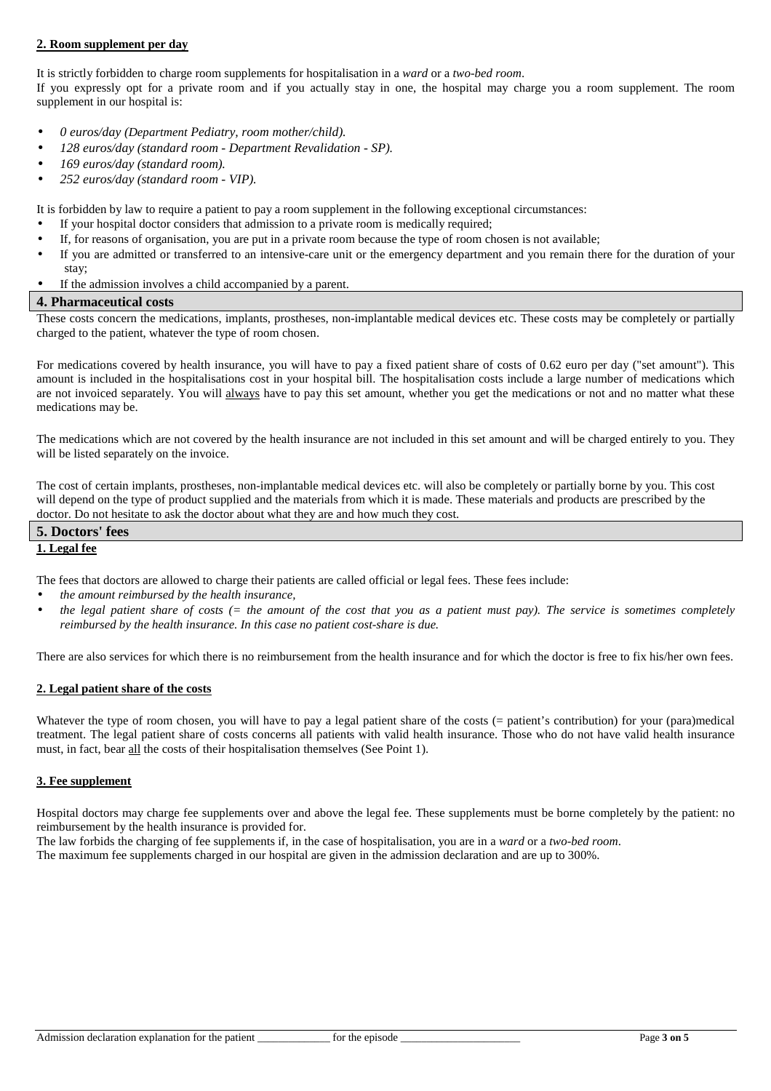### **2. Room supplement per day**

It is strictly forbidden to charge room supplements for hospitalisation in a *ward* or a *two-bed room*.

If you expressly opt for a private room and if you actually stay in one, the hospital may charge you a room supplement. The room supplement in our hospital is:

- *0 euros/day (Department Pediatry, room mother/child).*
- *128 euros/day (standard room Department Revalidation SP).*
- *169 euros/day (standard room).*
- *252 euros/day (standard room VIP).*

It is forbidden by law to require a patient to pay a room supplement in the following exceptional circumstances:

- If your hospital doctor considers that admission to a private room is medically required;
- If, for reasons of organisation, you are put in a private room because the type of room chosen is not available;
- If you are admitted or transferred to an intensive-care unit or the emergency department and you remain there for the duration of your stay;
- If the admission involves a child accompanied by a parent.

### **4. Pharmaceutical costs**

These costs concern the medications, implants, prostheses, non-implantable medical devices etc. These costs may be completely or partially charged to the patient, whatever the type of room chosen.

For medications covered by health insurance, you will have to pay a fixed patient share of costs of 0.62 euro per day ("set amount"). This amount is included in the hospitalisations cost in your hospital bill. The hospitalisation costs include a large number of medications which are not invoiced separately. You will always have to pay this set amount, whether you get the medications or not and no matter what these medications may be.

The medications which are not covered by the health insurance are not included in this set amount and will be charged entirely to you. They will be listed separately on the invoice.

The cost of certain implants, prostheses, non-implantable medical devices etc. will also be completely or partially borne by you. This cost will depend on the type of product supplied and the materials from which it is made. These materials and products are prescribed by the doctor. Do not hesitate to ask the doctor about what they are and how much they cost.

# **5. Doctors' fees**

# **1. Legal fee**

The fees that doctors are allowed to charge their patients are called official or legal fees. These fees include:

- *the amount reimbursed by the health insurance,*
- *the legal patient share of costs (= the amount of the cost that you as a patient must pay). The service is sometimes completely reimbursed by the health insurance. In this case no patient cost-share is due.*

There are also services for which there is no reimbursement from the health insurance and for which the doctor is free to fix his/her own fees.

### **2. Legal patient share of the costs**

Whatever the type of room chosen, you will have to pay a legal patient share of the costs (= patient's contribution) for your (para)medical treatment. The legal patient share of costs concerns all patients with valid health insurance. Those who do not have valid health insurance must, in fact, bear all the costs of their hospitalisation themselves (See Point 1).

### **3. Fee supplement**

Hospital doctors may charge fee supplements over and above the legal fee. These supplements must be borne completely by the patient: no reimbursement by the health insurance is provided for.

The law forbids the charging of fee supplements if, in the case of hospitalisation, you are in a *ward* or a *two-bed room*.

The maximum fee supplements charged in our hospital are given in the admission declaration and are up to 300%.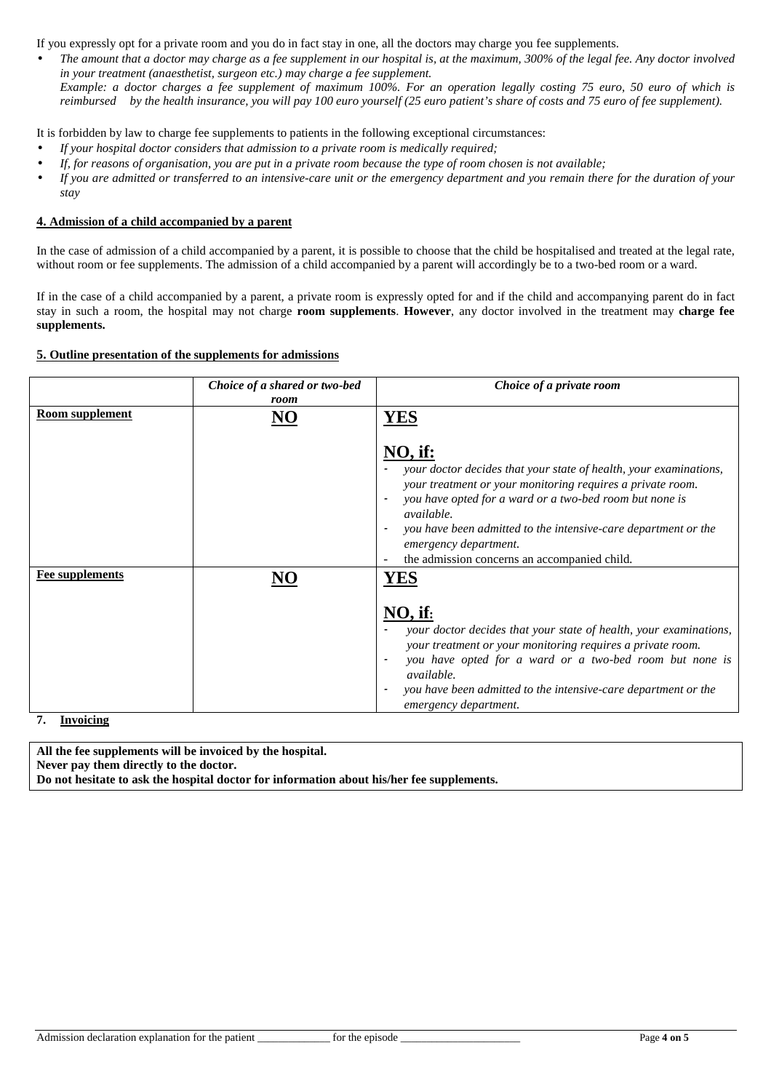If you expressly opt for a private room and you do in fact stay in one, all the doctors may charge you fee supplements.

• *The amount that a doctor may charge as a fee supplement in our hospital is, at the maximum, 300% of the legal fee. Any doctor involved in your treatment (anaesthetist, surgeon etc.) may charge a fee supplement. Example: a doctor charges a fee supplement of maximum 100%. For an operation legally costing 75 euro, 50 euro of which is reimbursed by the health insurance, you will pay 100 euro yourself (25 euro patient's share of costs and 75 euro of fee supplement).* 

It is forbidden by law to charge fee supplements to patients in the following exceptional circumstances:

- *If your hospital doctor considers that admission to a private room is medically required;*
- *If, for reasons of organisation, you are put in a private room because the type of room chosen is not available;*
- *If you are admitted or transferred to an intensive-care unit or the emergency department and you remain there for the duration of your stay*

# **4. Admission of a child accompanied by a parent**

In the case of admission of a child accompanied by a parent, it is possible to choose that the child be hospitalised and treated at the legal rate, without room or fee supplements. The admission of a child accompanied by a parent will accordingly be to a two-bed room or a ward.

If in the case of a child accompanied by a parent, a private room is expressly opted for and if the child and accompanying parent do in fact stay in such a room, the hospital may not charge **room supplements**. **However**, any doctor involved in the treatment may **charge fee supplements.** 

### **5. Outline presentation of the supplements for admissions**

|                                            | Choice of a shared or two-bed<br>room | Choice of a private room                                                                                                                                                                                                                                                                                                                                                                                          |
|--------------------------------------------|---------------------------------------|-------------------------------------------------------------------------------------------------------------------------------------------------------------------------------------------------------------------------------------------------------------------------------------------------------------------------------------------------------------------------------------------------------------------|
| Room supplement                            | NO                                    | <b>YES</b><br>$NO,$ if:<br>your doctor decides that your state of health, your examinations,<br>your treatment or your monitoring requires a private room.<br>you have opted for a ward or a two-bed room but none is<br>$\overline{\phantom{a}}$<br><i>available.</i><br>you have been admitted to the intensive-care department or the<br>emergency department.<br>the admission concerns an accompanied child. |
| <b>Fee supplements</b><br><b>Invoicing</b> |                                       | $NO,$ if:<br>your doctor decides that your state of health, your examinations,<br>your treatment or your monitoring requires a private room.<br>you have opted for a ward or a two-bed room but none is<br>available.<br>you have been admitted to the intensive-care department or the<br>$\overline{\phantom{a}}$<br>emergency department.                                                                      |

**7. Invoicing** 

**All the fee supplements will be invoiced by the hospital. Never pay them directly to the doctor. Do not hesitate to ask the hospital doctor for information about his/her fee supplements.**